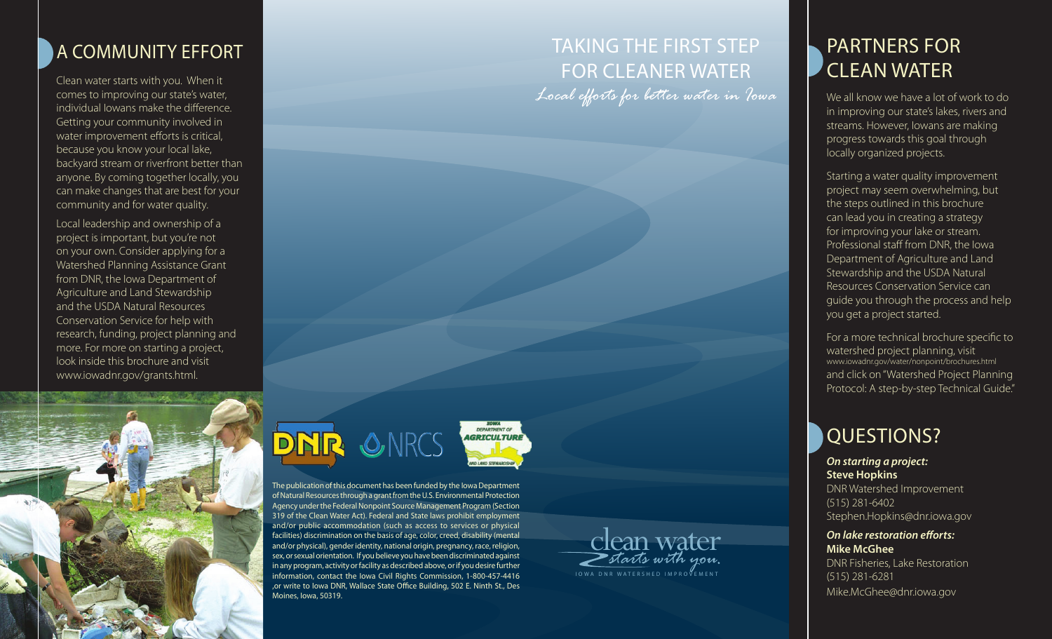# A community effort

Clean water starts with you. When it comes to improving our state's water, individual Iowans make the difference. Getting your community involved in water improvement efforts is critical, because you know your local lake, backyard stream or riverfront better than anyone. By coming together locally, you can make changes that are best for your community and for water quality.

Local leadership and ownership of a project is important, but you're not on your own. Consider applying for a Watershed Planning Assistance Grant from DNR, the Iowa Department of Agriculture and Land Stewardship and the USDA Natural Resources Conservation Service for help with research, funding, project planning and more. For more on starting a project, look inside this brochure and visit www.iowadnr.gov/grants.html.



# Taking The first step for cleaner water

*Local efforts for better water in Iowa*

# Partners for clean water

We all know we have a lot of work to do in improving our state's lakes, rivers and streams. However, Iowans are making progress towards this goal through locally organized projects.

Starting a water quality improvement project may seem overwhelming, but the steps outlined in this brochure can lead you in creating a strategy for improving your lake or stream. Professional staff from DNR, the Iowa Department of Agriculture and Land Stewardship and the USDA Natural Resources Conservation Service can guide you through the process and help you get a project started.

For a more technical brochure specific to watershed project planning, visit www.iowadnr.gov/water/nonpoint/brochures.html and click on "Watershed Project Planning Protocol: A step-by-step Technical Guide."

# QUESTIONS?

*On starting a project:* **Steve Hopkins** DNR Watershed Improvement

(515) 281-6402 Stephen.Hopkins@dnr.iowa.gov

#### *On lake restoration efforts:* **Mike McGhee**

DNR Fisheries, Lake Restoration (515) 281-6281 Mike.McGhee@dnr.iowa.gov



The publication of this document has been funded by the Iowa Department of Natural Resources through a grant from the U.S. Environmental Protection Agency under the Federal Nonpoint Source Management Program (Section 319 of the Clean Water Act). Federal and State laws prohibit employment and/or public accommodation (such as access to services or physical facilities) discrimination on the basis of age, color, creed, disability (mental and/or physical), gender identity, national origin, pregnancy, race, religion, sex, or sexual orientation. If you believe you have been discriminated against in any program, activity or facility as described above, or if you desire further information, contact the Iowa Civil Rights Commission, 1-800-457-4416 ,or write to Iowa DNR, Wallace State Office Building, 502 E. Ninth St., Des Moines, Iowa, 50319.